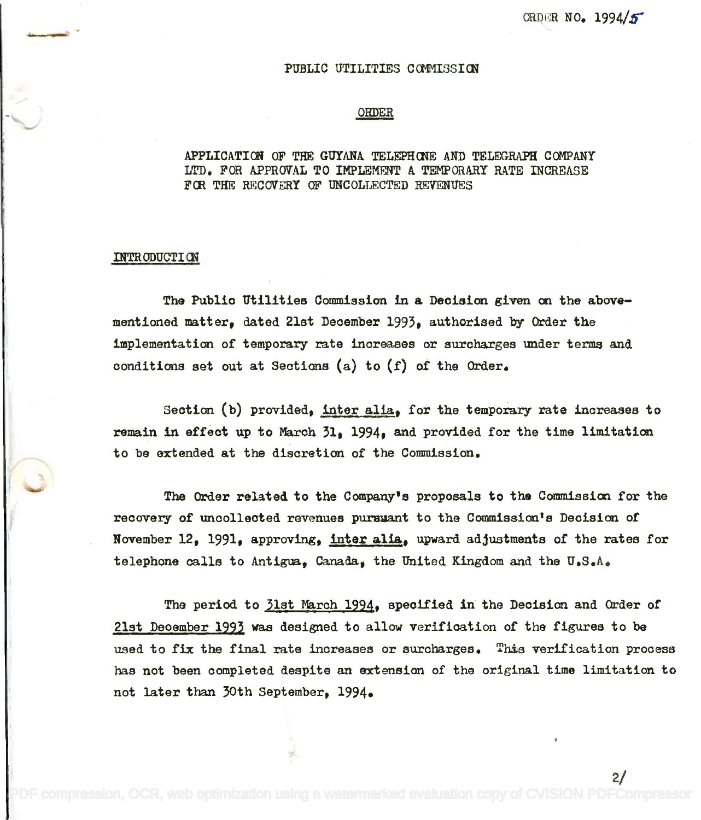2/

## PUBLIC UTILITIES COMMISSION

## ORDER

## APPLICATION OF THE GUYANA TELEPHONE AND TELEGRAPH COMPANY LTD. FOR APPROVAL TO IMPLEMENT A TEMPORARY RATE INCREASE LTD. FOR APPROVAL TO IMPLEMENT A TEMPORARY RATE INCREASE FOR THE RECOVERY OF UNCOLLECTED REVENUES

## INTRODUCTION

The Public Utilities Commission in a Decision given on the above Tha Publio Utilities Commissionin a Deoision given on the abovementioned matter, dated 21st December 1993, authorised by Order the mentioned matter, dated 21st Deoember1993, authorised by Order the implementation of temporary rate increases or surcharges under terms and conditions set out at Sections (a) to (f) of the Order. conditions set out at Sections (a) to *(f)* of the Order.

Section (b) provided, inter alia, for the temporary rate increases to remain in effect up to March 31, 1994, and provided for the time limitation to be extended at the discretion of the Commission. to be extended at the discretion of the Commission.

The Order related to the Company's proposals to the Commission for the recovery of uncollected revenues pursuant to the Commission's Decision of November 12, 1991, approving, inter alia, upward adjustments of the rates for telephone calls to Antigua, Canada, the United Kingdom and the U.S.A.

The period to 31st March 1994, specified in the Decision and Order of 21st December 1993 was designed to allow verification of the figures to be used to fix the final rate increases or surcharges. This verification process has not been completed despite an extension of the original time limitation to has not been oompleted despite an extension of the original time limitation to not later than 30th September, 1994. not later than 30th September, 1994.